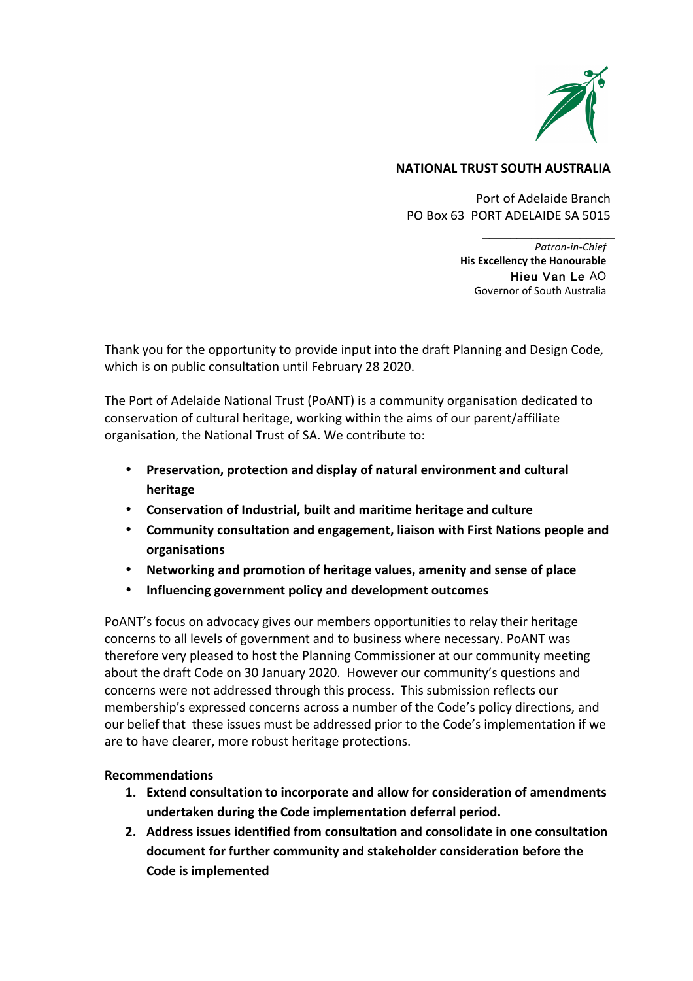

# **NATIONAL TRUST SOUTH AUSTRALIA**

Port of Adelaide Branch PO Box 63 PORT ADELAIDE SA 5015

> *Patron-in-Chief* **His Excellency the Honourable**  Hieu Van Le AO Governor of South Australia

**\_\_\_\_\_\_\_\_\_\_\_\_\_\_\_\_\_\_\_**

Thank you for the opportunity to provide input into the draft Planning and Design Code, which is on public consultation until February 28 2020.

The Port of Adelaide National Trust (PoANT) is a community organisation dedicated to conservation of cultural heritage, working within the aims of our parent/affiliate organisation, the National Trust of SA. We contribute to:

- **Preservation, protection and display of natural environment and cultural heritage**
- Conservation of Industrial, built and maritime heritage and culture
- **Community consultation and engagement, liaison with First Nations people and organisations**
- Networking and promotion of heritage values, amenity and sense of place
- **Influencing government policy and development outcomes**

POANT's focus on advocacy gives our members opportunities to relay their heritage concerns to all levels of government and to business where necessary. PoANT was therefore very pleased to host the Planning Commissioner at our community meeting about the draft Code on 30 January 2020. However our community's questions and concerns were not addressed through this process. This submission reflects our membership's expressed concerns across a number of the Code's policy directions, and our belief that these issues must be addressed prior to the Code's implementation if we are to have clearer, more robust heritage protections.

# **Recommendations**

- **1.** Extend consultation to incorporate and allow for consideration of amendments **undertaken during the Code implementation deferral period.**
- **2.** Address issues identified from consultation and consolidate in one consultation document for further community and stakeholder consideration before the **Code is implemented**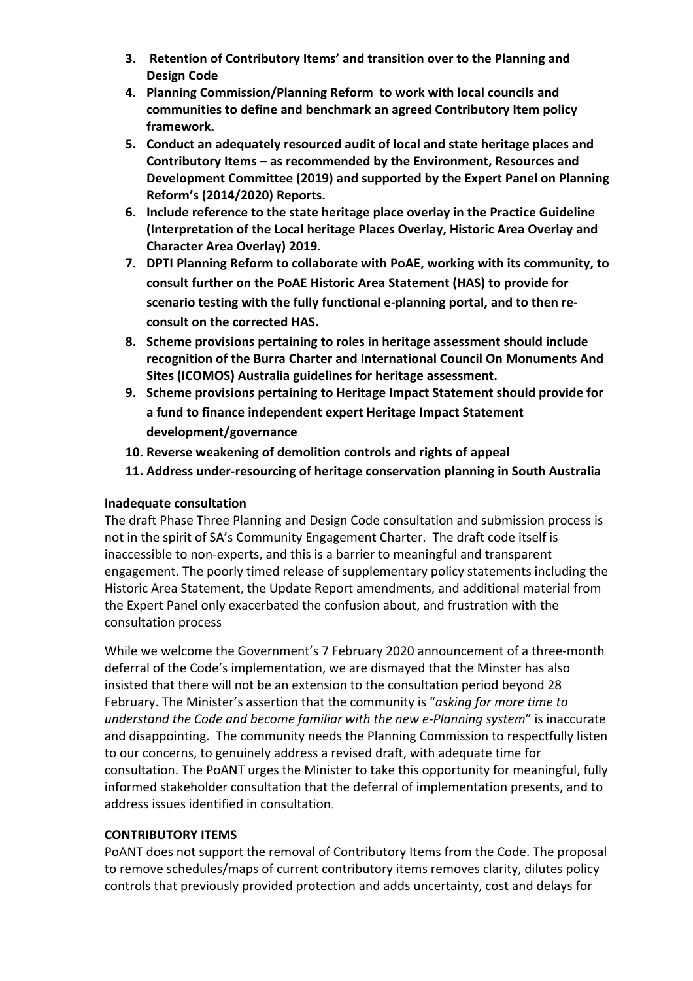- **3.** Retention of Contributory Items' and transition over to the Planning and **Design Code**
- 4. Planning Commission/Planning Reform to work with local councils and communities to define and benchmark an agreed Contributory Item policy framework.
- **5.** Conduct an adequately resourced audit of local and state heritage places and Contributory Items – as recommended by the Environment, Resources and **Development Committee (2019) and supported by the Expert Panel on Planning Reform's (2014/2020) Reports.**
- 6. Include reference to the state heritage place overlay in the Practice Guideline (Interpretation of the Local heritage Places Overlay, Historic Area Overlay and **Character Area Overlay) 2019.**
- **7.** DPTI Planning Reform to collaborate with PoAE, working with its community, to consult further on the PoAE Historic Area Statement (HAS) to provide for scenario testing with the fully functional e-planning portal, and to then reconsult on the corrected **HAS.**
- **8.** Scheme provisions pertaining to roles in heritage assessment should include recognition of the Burra Charter and International Council On Monuments And Sites (ICOMOS) Australia guidelines for heritage assessment.
- **9.** Scheme provisions pertaining to Heritage Impact Statement should provide for a fund to finance independent expert Heritage Impact Statement **development/governance**
- 10. Reverse weakening of demolition controls and rights of appeal
- 11. Address under-resourcing of heritage conservation planning in South Australia

# **Inadequate consultation**

The draft Phase Three Planning and Design Code consultation and submission process is not in the spirit of SA's Community Engagement Charter. The draft code itself is inaccessible to non-experts, and this is a barrier to meaningful and transparent engagement. The poorly timed release of supplementary policy statements including the Historic Area Statement, the Update Report amendments, and additional material from the Expert Panel only exacerbated the confusion about, and frustration with the consultation process

While we welcome the Government's 7 February 2020 announcement of a three-month deferral of the Code's implementation, we are dismayed that the Minster has also insisted that there will not be an extension to the consultation period beyond 28 February. The Minister's assertion that the community is "asking for more time to *understand the Code and become familiar with the new e-Planning system*" is inaccurate and disappointing. The community needs the Planning Commission to respectfully listen to our concerns, to genuinely address a revised draft, with adequate time for consultation. The PoANT urges the Minister to take this opportunity for meaningful, fully informed stakeholder consultation that the deferral of implementation presents, and to address issues identified in consultation.

# **CONTRIBUTORY ITEMS**

PoANT does not support the removal of Contributory Items from the Code. The proposal to remove schedules/maps of current contributory items removes clarity, dilutes policy controls that previously provided protection and adds uncertainty, cost and delays for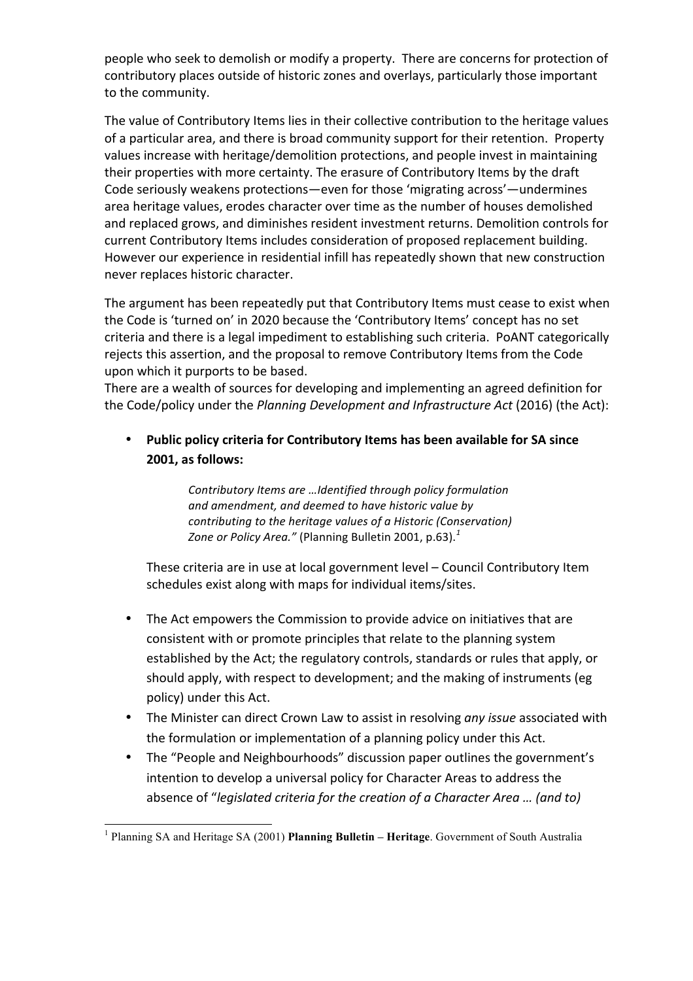people who seek to demolish or modify a property. There are concerns for protection of contributory places outside of historic zones and overlays, particularly those important to the community.

The value of Contributory Items lies in their collective contribution to the heritage values of a particular area, and there is broad community support for their retention. Property values increase with heritage/demolition protections, and people invest in maintaining their properties with more certainty. The erasure of Contributory Items by the draft Code seriously weakens protections—even for those 'migrating across'—undermines area heritage values, erodes character over time as the number of houses demolished and replaced grows, and diminishes resident investment returns. Demolition controls for current Contributory Items includes consideration of proposed replacement building. However our experience in residential infill has repeatedly shown that new construction never replaces historic character.

The argument has been repeatedly put that Contributory Items must cease to exist when the Code is 'turned on' in 2020 because the 'Contributory Items' concept has no set criteria and there is a legal impediment to establishing such criteria. PoANT categorically rejects this assertion, and the proposal to remove Contributory Items from the Code upon which it purports to be based.

There are a wealth of sources for developing and implementing an agreed definition for the Code/policy under the *Planning Development and Infrastructure Act* (2016) (the Act):

**Public policy criteria for Contributory Items has been available for SA since 2001, as follows:** 

> Contributory Items are ...Identified through policy formulation and amendment, and deemed to have historic value by *contributing to the heritage values of a Historic (Conservation)* Zone or Policy Area." (Planning Bulletin 2001, p.63).<sup>1</sup>

These criteria are in use at local government level – Council Contributory Item schedules exist along with maps for individual items/sites.

- The Act empowers the Commission to provide advice on initiatives that are consistent with or promote principles that relate to the planning system established by the Act; the regulatory controls, standards or rules that apply, or should apply, with respect to development; and the making of instruments (eg policy) under this Act.
- The Minister can direct Crown Law to assist in resolving *any issue* associated with the formulation or implementation of a planning policy under this Act.
- The "People and Neighbourhoods" discussion paper outlines the government's intention to develop a universal policy for Character Areas to address the absence of "*legislated criteria for the creation of a Character Area ... (and to)*

 <sup>1</sup> Planning SA and Heritage SA (2001) **Planning Bulletin – Heritage**. Government of South Australia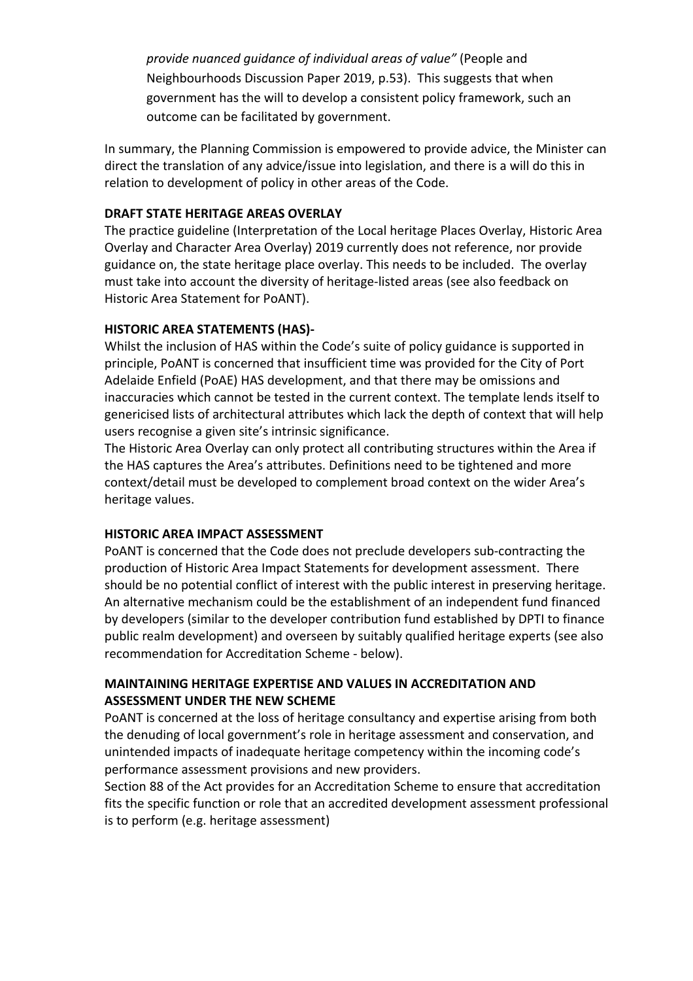*provide nuanced quidance of individual areas of value"* (People and Neighbourhoods Discussion Paper 2019, p.53). This suggests that when government has the will to develop a consistent policy framework, such an outcome can be facilitated by government.

In summary, the Planning Commission is empowered to provide advice, the Minister can direct the translation of any advice/issue into legislation, and there is a will do this in relation to development of policy in other areas of the Code.

## **DRAFT STATE HERITAGE AREAS OVERLAY**

The practice guideline (Interpretation of the Local heritage Places Overlay, Historic Area Overlay and Character Area Overlay) 2019 currently does not reference, nor provide guidance on, the state heritage place overlay. This needs to be included. The overlay must take into account the diversity of heritage-listed areas (see also feedback on Historic Area Statement for PoANT).

## **HISTORIC AREA STATEMENTS (HAS)-**

Whilst the inclusion of HAS within the Code's suite of policy guidance is supported in principle, PoANT is concerned that insufficient time was provided for the City of Port Adelaide Enfield (PoAE) HAS development, and that there may be omissions and inaccuracies which cannot be tested in the current context. The template lends itself to genericised lists of architectural attributes which lack the depth of context that will help users recognise a given site's intrinsic significance.

The Historic Area Overlay can only protect all contributing structures within the Area if the HAS captures the Area's attributes. Definitions need to be tightened and more context/detail must be developed to complement broad context on the wider Area's heritage values.

# **HISTORIC AREA IMPACT ASSESSMENT**

POANT is concerned that the Code does not preclude developers sub-contracting the production of Historic Area Impact Statements for development assessment. There should be no potential conflict of interest with the public interest in preserving heritage. An alternative mechanism could be the establishment of an independent fund financed by developers (similar to the developer contribution fund established by DPTI to finance public realm development) and overseen by suitably qualified heritage experts (see also recommendation for Accreditation Scheme - below).

# **MAINTAINING HERITAGE EXPERTISE AND VALUES IN ACCREDITATION AND ASSESSMENT UNDER THE NEW SCHEME**

POANT is concerned at the loss of heritage consultancy and expertise arising from both the denuding of local government's role in heritage assessment and conservation, and unintended impacts of inadequate heritage competency within the incoming code's performance assessment provisions and new providers.

Section 88 of the Act provides for an Accreditation Scheme to ensure that accreditation fits the specific function or role that an accredited development assessment professional is to perform (e.g. heritage assessment)